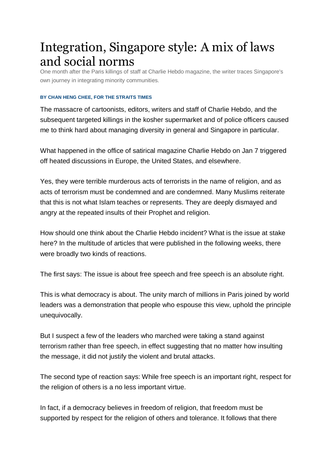# Integration, Singapore style: A mix of laws and social norms

One month after the Paris killings of staff at Charlie Hebdo magazine, the writer traces Singapore's own journey in integrating minority communities.

#### **BY CHAN HENG CHEE, FOR THE STRAITS TIMES**

The massacre of cartoonists, editors, writers and staff of Charlie Hebdo, and the subsequent targeted killings in the kosher supermarket and of police officers caused me to think hard about managing diversity in general and Singapore in particular.

What happened in the office of satirical magazine Charlie Hebdo on Jan 7 triggered off heated discussions in Europe, the United States, and elsewhere.

Yes, they were terrible murderous acts of terrorists in the name of religion, and as acts of terrorism must be condemned and are condemned. Many Muslims reiterate that this is not what Islam teaches or represents. They are deeply dismayed and angry at the repeated insults of their Prophet and religion.

How should one think about the Charlie Hebdo incident? What is the issue at stake here? In the multitude of articles that were published in the following weeks, there were broadly two kinds of reactions.

The first says: The issue is about free speech and free speech is an absolute right.

This is what democracy is about. The unity march of millions in Paris joined by world leaders was a demonstration that people who espouse this view, uphold the principle unequivocally.

But I suspect a few of the leaders who marched were taking a stand against terrorism rather than free speech, in effect suggesting that no matter how insulting the message, it did not justify the violent and brutal attacks.

The second type of reaction says: While free speech is an important right, respect for the religion of others is a no less important virtue.

In fact, if a democracy believes in freedom of religion, that freedom must be supported by respect for the religion of others and tolerance. It follows that there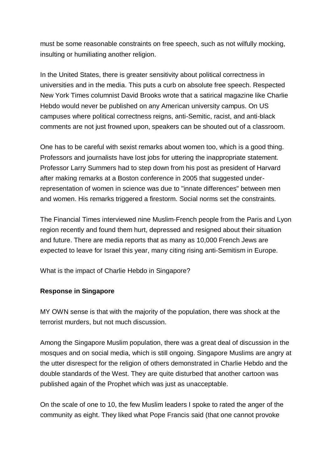must be some reasonable constraints on free speech, such as not wilfully mocking, insulting or humiliating another religion.

In the United States, there is greater sensitivity about political correctness in universities and in the media. This puts a curb on absolute free speech. Respected New York Times columnist David Brooks wrote that a satirical magazine like Charlie Hebdo would never be published on any American university campus. On US campuses where political correctness reigns, anti-Semitic, racist, and anti-black comments are not just frowned upon, speakers can be shouted out of a classroom.

One has to be careful with sexist remarks about women too, which is a good thing. Professors and journalists have lost jobs for uttering the inappropriate statement. Professor Larry Summers had to step down from his post as president of Harvard after making remarks at a Boston conference in 2005 that suggested underrepresentation of women in science was due to "innate differences" between men and women. His remarks triggered a firestorm. Social norms set the constraints.

The Financial Times interviewed nine Muslim-French people from the Paris and Lyon region recently and found them hurt, depressed and resigned about their situation and future. There are media reports that as many as 10,000 French Jews are expected to leave for Israel this year, many citing rising anti-Semitism in Europe.

What is the impact of Charlie Hebdo in Singapore?

## **Response in Singapore**

MY OWN sense is that with the majority of the population, there was shock at the terrorist murders, but not much discussion.

Among the Singapore Muslim population, there was a great deal of discussion in the mosques and on social media, which is still ongoing. Singapore Muslims are angry at the utter disrespect for the religion of others demonstrated in Charlie Hebdo and the double standards of the West. They are quite disturbed that another cartoon was published again of the Prophet which was just as unacceptable.

On the scale of one to 10, the few Muslim leaders I spoke to rated the anger of the community as eight. They liked what Pope Francis said (that one cannot provoke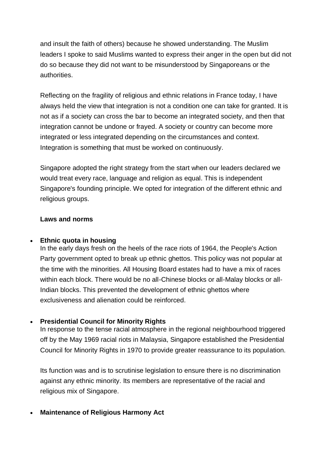and insult the faith of others) because he showed understanding. The Muslim leaders I spoke to said Muslims wanted to express their anger in the open but did not do so because they did not want to be misunderstood by Singaporeans or the authorities.

Reflecting on the fragility of religious and ethnic relations in France today, I have always held the view that integration is not a condition one can take for granted. It is not as if a society can cross the bar to become an integrated society, and then that integration cannot be undone or frayed. A society or country can become more integrated or less integrated depending on the circumstances and context. Integration is something that must be worked on continuously.

Singapore adopted the right strategy from the start when our leaders declared we would treat every race, language and religion as equal. This is independent Singapore's founding principle. We opted for integration of the different ethnic and religious groups.

#### **Laws and norms**

#### **Ethnic quota in housing**

In the early days fresh on the heels of the race riots of 1964, the People's Action Party government opted to break up ethnic ghettos. This policy was not popular at the time with the minorities. All Housing Board estates had to have a mix of races within each block. There would be no all-Chinese blocks or all-Malay blocks or all-Indian blocks. This prevented the development of ethnic ghettos where exclusiveness and alienation could be reinforced.

## **Presidential Council for Minority Rights**

In response to the tense racial atmosphere in the regional neighbourhood triggered off by the May 1969 racial riots in Malaysia, Singapore established the Presidential Council for Minority Rights in 1970 to provide greater reassurance to its population.

Its function was and is to scrutinise legislation to ensure there is no discrimination against any ethnic minority. Its members are representative of the racial and religious mix of Singapore.

## **Maintenance of Religious Harmony Act**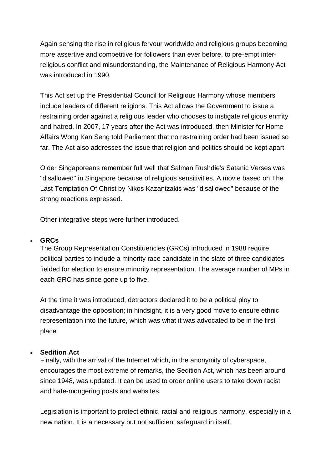Again sensing the rise in religious fervour worldwide and religious groups becoming more assertive and competitive for followers than ever before, to pre-empt interreligious conflict and misunderstanding, the Maintenance of Religious Harmony Act was introduced in 1990.

This Act set up the Presidential Council for Religious Harmony whose members include leaders of different religions. This Act allows the Government to issue a restraining order against a religious leader who chooses to instigate religious enmity and hatred. In 2007, 17 years after the Act was introduced, then Minister for Home Affairs Wong Kan Seng told Parliament that no restraining order had been issued so far. The Act also addresses the issue that religion and politics should be kept apart.

Older Singaporeans remember full well that Salman Rushdie's Satanic Verses was "disallowed" in Singapore because of religious sensitivities. A movie based on The Last Temptation Of Christ by Nikos Kazantzakis was "disallowed" because of the strong reactions expressed.

Other integrative steps were further introduced.

#### **GRCs**

The Group Representation Constituencies (GRCs) introduced in 1988 require political parties to include a minority race candidate in the slate of three candidates fielded for election to ensure minority representation. The average number of MPs in each GRC has since gone up to five.

At the time it was introduced, detractors declared it to be a political ploy to disadvantage the opposition; in hindsight, it is a very good move to ensure ethnic representation into the future, which was what it was advocated to be in the first place.

## **Sedition Act**

Finally, with the arrival of the Internet which, in the anonymity of cyberspace, encourages the most extreme of remarks, the Sedition Act, which has been around since 1948, was updated. It can be used to order online users to take down racist and hate-mongering posts and websites.

Legislation is important to protect ethnic, racial and religious harmony, especially in a new nation. It is a necessary but not sufficient safeguard in itself.